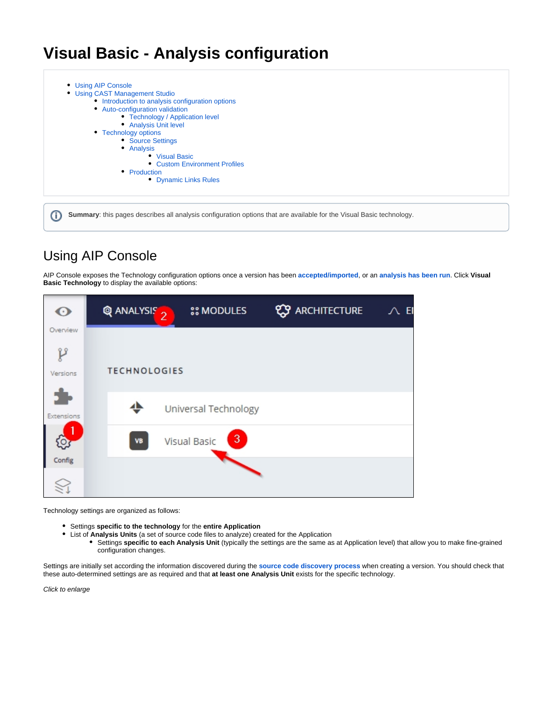# **Visual Basic - Analysis configuration**

[Using AIP Console](#page-0-0) [Using CAST Management Studio](#page-1-0) • [Introduction to analysis configuration options](#page-1-1) [Auto-configuration validation](#page-2-0) • [Technology / Application level](#page-2-1) [Analysis Unit level](#page-3-0) • [Technology options](#page-3-1) • [Source Settings](#page-3-2) • [Analysis](#page-4-0) [Visual Basic](#page-4-1) [Custom Environment Profiles](#page-4-2) • [Production](#page-4-3) [Dynamic Links Rules](#page-5-0)

**Summary**: this pages describes all analysis configuration options that are available for the Visual Basic technology.

## <span id="page-0-0"></span>Using AIP Console

G)

AIP Console exposes the Technology configuration options once a version has been **[accepted/imported](https://doc.castsoftware.com/display/DASHBOARDS/Advanced+onboarding+-+validate+and+accept+the+version)**, or an **[analysis has been run](https://doc.castsoftware.com/display/DASHBOARDS/Advanced+onboarding+-+run+and+validate+the+initial+analysis)**. Click **Visual Basic Technology** to display the available options:



Technology settings are organized as follows:

- Settings **specific to the technology** for the **entire Application**
- List of **Analysis Units** (a set of source code files to analyze) created for the Application
	- Settings **specific to each Analysis Unit** (typically the settings are the same as at Application level) that allow you to make fine-grained configuration changes.

Settings are initially set according the information discovered during the **[source code discovery process](https://doc.castsoftware.com/display/TECHNOS/Visual+Basic+-+Prepare+and+deliver+the+source+code)** when creating a version. You should check that these auto-determined settings are as required and that **at least one Analysis Unit** exists for the specific technology.

Click to enlarge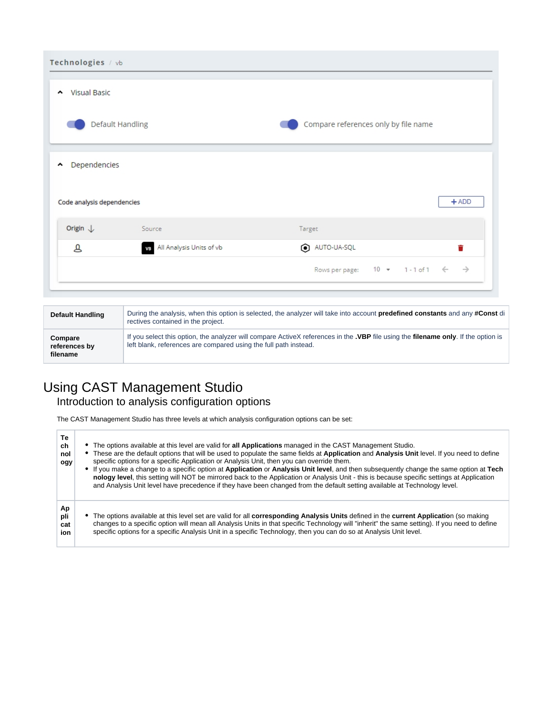| Technologies / vb                   |                             |                                                                     |  |  |  |  |
|-------------------------------------|-----------------------------|---------------------------------------------------------------------|--|--|--|--|
| Visual Basic<br>$\hat{\phantom{a}}$ |                             |                                                                     |  |  |  |  |
|                                     | Default Handling            | Compare references only by file name                                |  |  |  |  |
| Dependencies<br>۸                   |                             |                                                                     |  |  |  |  |
| Code analysis dependencies          |                             | $+$ ADD                                                             |  |  |  |  |
| Origin $\downarrow$                 | Source                      | Target                                                              |  |  |  |  |
| த                                   | VB All Analysis Units of vb | AUTO-UA-SQL<br>Ħ                                                    |  |  |  |  |
|                                     |                             | Rows per page: $10 \times 1 - 1$ of $1 \leftarrow$<br>$\rightarrow$ |  |  |  |  |

| <b>Default Handling</b>              | During the analysis, when this option is selected, the analyzer will take into account <b>predefined constants</b> and any <b>#Const</b> di<br>rectives contained in the project.                                     |
|--------------------------------------|-----------------------------------------------------------------------------------------------------------------------------------------------------------------------------------------------------------------------|
| Compare<br>references by<br>filename | If you select this option, the analyzer will compare ActiveX references in the <b>.VBP</b> file using the <b>filename only</b> . If the option is<br>left blank, references are compared using the full path instead. |

## <span id="page-1-1"></span><span id="page-1-0"></span>Using CAST Management Studio

## Introduction to analysis configuration options

The CAST Management Studio has three levels at which analysis configuration options can be set:

| Тe<br>ch<br>nol<br>ogy  | • The options available at this level are valid for all Applications managed in the CAST Management Studio.<br>• These are the default options that will be used to populate the same fields at Application and Analysis Unit level. If you need to define<br>specific options for a specific Application or Analysis Unit, then you can override them.<br>• If you make a change to a specific option at Application or Analysis Unit level, and then subsequently change the same option at Tech<br>nology level, this setting will NOT be mirrored back to the Application or Analysis Unit - this is because specific settings at Application<br>and Analysis Unit level have precedence if they have been changed from the default setting available at Technology level. |
|-------------------------|--------------------------------------------------------------------------------------------------------------------------------------------------------------------------------------------------------------------------------------------------------------------------------------------------------------------------------------------------------------------------------------------------------------------------------------------------------------------------------------------------------------------------------------------------------------------------------------------------------------------------------------------------------------------------------------------------------------------------------------------------------------------------------|
| Ap<br>pli<br>cat<br>ion | • The options available at this level set are valid for all corresponding Analysis Units defined in the current Application (so making<br>changes to a specific option will mean all Analysis Units in that specific Technology will "inherit" the same setting). If you need to define<br>specific options for a specific Analysis Unit in a specific Technology, then you can do so at Analysis Unit level.                                                                                                                                                                                                                                                                                                                                                                  |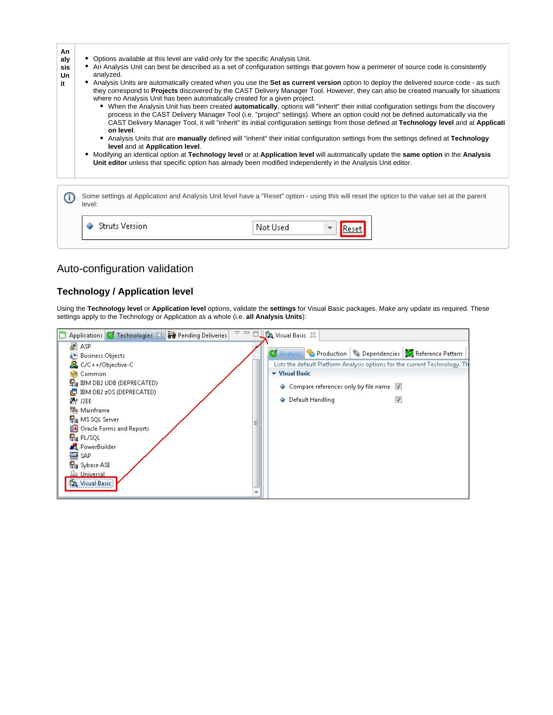| An<br>aly<br>sis<br>Un<br>it | Options available at this level are valid only for the specific Analysis Unit.<br>An Analysis Unit can best be described as a set of configuration settings that govern how a perimeter of source code is consistently<br>analyzed.<br>• Analysis Units are automatically created when you use the Set as current version option to deploy the delivered source code - as such<br>they correspond to Projects discovered by the CAST Delivery Manager Tool. However, they can also be created manually for situations<br>where no Analysis Unit has been automatically created for a given project.<br>When the Analysis Unit has been created <b>automatically</b> , options will "inherit" their initial configuration settings from the discovery<br>process in the CAST Delivery Manager Tool (i.e. "project" settings). Where an option could not be defined automatically via the<br>CAST Delivery Manager Tool, it will "inherit" its initial configuration settings from those defined at Technology level and at Applicati<br>on level.<br>Analysis Units that are manually defined will "inherit" their initial configuration settings from the settings defined at Technology<br>level and at Application level.<br>Modifying an identical option at Technology level or at Application level will automatically update the same option in the Analysis<br>Unit editor unless that specific option has already been modified independently in the Analysis Unit editor. |
|------------------------------|------------------------------------------------------------------------------------------------------------------------------------------------------------------------------------------------------------------------------------------------------------------------------------------------------------------------------------------------------------------------------------------------------------------------------------------------------------------------------------------------------------------------------------------------------------------------------------------------------------------------------------------------------------------------------------------------------------------------------------------------------------------------------------------------------------------------------------------------------------------------------------------------------------------------------------------------------------------------------------------------------------------------------------------------------------------------------------------------------------------------------------------------------------------------------------------------------------------------------------------------------------------------------------------------------------------------------------------------------------------------------------------------------------------------------------------------------------------------------------|
|                              | Some settings at Application and Analysis Unit level have a "Reset" option - using this will reset the option to the value set at the parent<br>level:                                                                                                                                                                                                                                                                                                                                                                                                                                                                                                                                                                                                                                                                                                                                                                                                                                                                                                                                                                                                                                                                                                                                                                                                                                                                                                                             |
|                              | <b>Struts Version</b><br>Not Used                                                                                                                                                                                                                                                                                                                                                                                                                                                                                                                                                                                                                                                                                                                                                                                                                                                                                                                                                                                                                                                                                                                                                                                                                                                                                                                                                                                                                                                  |

## <span id="page-2-0"></span>Auto-configuration validation

## <span id="page-2-1"></span>**Technology / Application level**

Using the **Technology level** or **Application level** options, validate the **settings** for Visual Basic packages. Make any update as required. These settings apply to the Technology or Application as a whole (i.e. **all Analysis Units**):

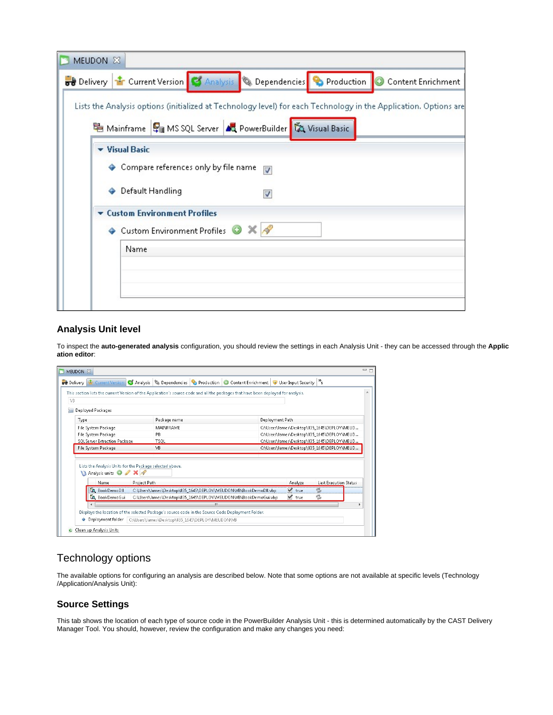| MEUDON X |                                                                                      |                 |  |                                                                                                                  |
|----------|--------------------------------------------------------------------------------------|-----------------|--|------------------------------------------------------------------------------------------------------------------|
|          | <b>Delivery 12 Current Version 3 Analysis</b> & Dependencies <b>&amp; Production</b> |                 |  | Content Enrichment                                                                                               |
|          |                                                                                      |                 |  | Lists the Analysis options (initialized at Technology level) for each Technology in the Application. Options are |
|          | 电 Mainframe H MS SQL Server AQ PowerBuilder 成 Visual Basic                           |                 |  |                                                                                                                  |
|          | v Visual Basic                                                                       |                 |  |                                                                                                                  |
|          | ♦ Compare references only by file name                                               | Ø               |  |                                                                                                                  |
| ٠        | Default Handling                                                                     | V               |  |                                                                                                                  |
|          | <b>v</b> Custom Environment Profiles                                                 |                 |  |                                                                                                                  |
|          | ◆ Custom Environment Profiles ●                                                      | $\times$ $\sim$ |  |                                                                                                                  |
|          | Name                                                                                 |                 |  |                                                                                                                  |
|          |                                                                                      |                 |  |                                                                                                                  |
|          |                                                                                      |                 |  |                                                                                                                  |
|          |                                                                                      |                 |  |                                                                                                                  |

### <span id="page-3-0"></span>**Analysis Unit level**

To inspect the **auto-generated analysis** configuration, you should review the settings in each Analysis Unit - they can be accessed through the **Applic ation editor**:

|                          |                                              | <b>of Delivery for Current Version Companysis &amp; Dependencies Company Production Co Content Enrichment &amp; User Input Security   "s</b> |                                                                          |  |                                                                                                                                      |                                                                                                                                                                                                                  |                                                                                                                                                                                                                                     |
|--------------------------|----------------------------------------------|----------------------------------------------------------------------------------------------------------------------------------------------|--------------------------------------------------------------------------|--|--------------------------------------------------------------------------------------------------------------------------------------|------------------------------------------------------------------------------------------------------------------------------------------------------------------------------------------------------------------|-------------------------------------------------------------------------------------------------------------------------------------------------------------------------------------------------------------------------------------|
|                          |                                              |                                                                                                                                              |                                                                          |  |                                                                                                                                      |                                                                                                                                                                                                                  |                                                                                                                                                                                                                                     |
| <b>Deployed Packages</b> |                                              |                                                                                                                                              |                                                                          |  |                                                                                                                                      |                                                                                                                                                                                                                  |                                                                                                                                                                                                                                     |
| Type                     |                                              | Package name                                                                                                                                 |                                                                          |  |                                                                                                                                      |                                                                                                                                                                                                                  |                                                                                                                                                                                                                                     |
| File System Package      |                                              | <b>MAINFRAME</b>                                                                                                                             |                                                                          |  |                                                                                                                                      |                                                                                                                                                                                                                  |                                                                                                                                                                                                                                     |
| File System Package      |                                              | PB.                                                                                                                                          |                                                                          |  |                                                                                                                                      |                                                                                                                                                                                                                  |                                                                                                                                                                                                                                     |
|                          |                                              | <b>TSOL</b>                                                                                                                                  |                                                                          |  |                                                                                                                                      |                                                                                                                                                                                                                  |                                                                                                                                                                                                                                     |
| File System Package      |                                              | VB                                                                                                                                           |                                                                          |  |                                                                                                                                      |                                                                                                                                                                                                                  |                                                                                                                                                                                                                                     |
|                          |                                              |                                                                                                                                              |                                                                          |  |                                                                                                                                      |                                                                                                                                                                                                                  |                                                                                                                                                                                                                                     |
|                          |                                              |                                                                                                                                              |                                                                          |  |                                                                                                                                      |                                                                                                                                                                                                                  |                                                                                                                                                                                                                                     |
|                          |                                              |                                                                                                                                              |                                                                          |  |                                                                                                                                      |                                                                                                                                                                                                                  |                                                                                                                                                                                                                                     |
|                          |                                              |                                                                                                                                              | Ш                                                                        |  |                                                                                                                                      |                                                                                                                                                                                                                  |                                                                                                                                                                                                                                     |
|                          |                                              | Displays the location of the selected Package's source code in the Source Code Deployment Folder.                                            |                                                                          |  |                                                                                                                                      |                                                                                                                                                                                                                  |                                                                                                                                                                                                                                     |
|                          |                                              |                                                                                                                                              |                                                                          |  |                                                                                                                                      |                                                                                                                                                                                                                  |                                                                                                                                                                                                                                     |
|                          | Name<br><b>La BookDemoDII</b><br>BookDemoGui | SQL Server Extraction Package<br><b>V</b> Analysis units <b>O</b> / X /                                                                      | Lists the Analysis Units for the Package selected above.<br>Project Path |  | C:\Users\James\Desktop\835_1645\DEPLOY\MEUDON\VB\BookDemoDII.vbp<br>C:\Users\James\Desktop\835_1645\DEPLOY\MEUDON\VB\BookDemoGui.vbp | This section lists the current Version of the Application's source code and all the packages that have been deployed for analysis.<br>Deployment Path<br>Analyze<br>$\sqrt{ }$ true<br>$\blacktriangledown$ true | C:\Users\James\Desktop\835_1645\DEPLOY\MEUD<br>C:\Users\James\Desktop\835_1645\DEPLOY\MEUD<br>C:\Users\James\Desktop\835_1645\DEPLOY\MEUD<br>C:\Users\James\Desktop\835_1645\DEPLOY\MEUD<br><b>Last Execution Status</b><br>z<br>e, |

## <span id="page-3-1"></span>Technology options

The available options for configuring an analysis are described below. Note that some options are not available at specific levels (Technology /Application/Analysis Unit):

## <span id="page-3-2"></span>**Source Settings**

This tab shows the location of each type of source code in the PowerBuilder Analysis Unit - this is determined automatically by the CAST Delivery Manager Tool. You should, however, review the configuration and make any changes you need: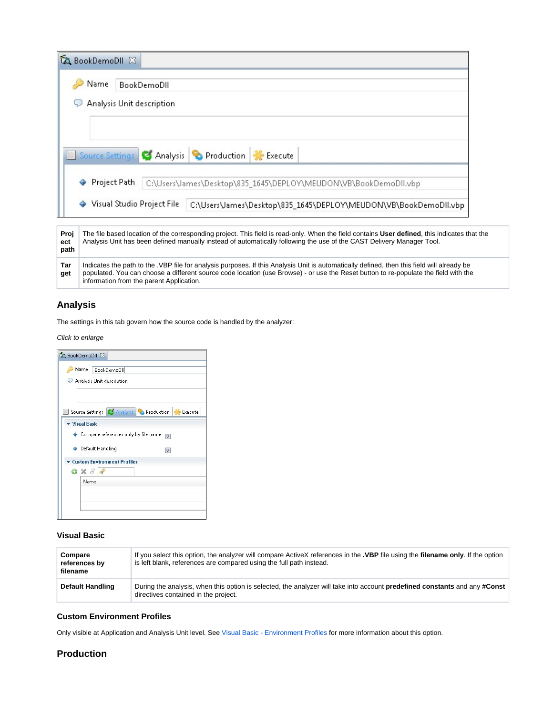|                     | <b>LA</b> BookDemoDII 23                 |                                                                                                                                                                                                                                                                                   |
|---------------------|------------------------------------------|-----------------------------------------------------------------------------------------------------------------------------------------------------------------------------------------------------------------------------------------------------------------------------------|
|                     | Name<br>BookDemoDII                      |                                                                                                                                                                                                                                                                                   |
|                     | Analysis Unit description                |                                                                                                                                                                                                                                                                                   |
|                     |                                          |                                                                                                                                                                                                                                                                                   |
|                     |                                          | Source Settings G Analysis C Production F Execute                                                                                                                                                                                                                                 |
|                     | Project Path                             | C:\Users\James\Desktop\835_1645\DEPLOY\MEUDON\VB\BookDemoDll.vbp                                                                                                                                                                                                                  |
|                     | Visual Studio Project File               | C:\Users\James\Desktop\835_1645\DEPLOY\MEUDON\VB\BookDemoDll.vbp                                                                                                                                                                                                                  |
| Proj<br>ect<br>path |                                          | The file based location of the corresponding project. This field is read-only. When the field contains User defined, this indicates that the<br>Analysis Unit has been defined manually instead of automatically following the use of the CAST Delivery Manager Tool.             |
| Tar<br>get          | information from the parent Application. | Indicates the path to the .VBP file for analysis purposes. If this Analysis Unit is automatically defined, then this field will already be<br>populated. You can choose a different source code location (use Browse) - or use the Reset button to re-populate the field with the |

## <span id="page-4-0"></span>**Analysis**

The settings in this tab govern how the source code is handled by the analyzer:

Click to enlarge

| <b>A</b> BookDemoDII 23            |                                                                        |
|------------------------------------|------------------------------------------------------------------------|
| Name BookDemoDII                   |                                                                        |
| Analysis Unit description          |                                                                        |
|                                    |                                                                        |
|                                    | Source Settings <b>C</b> Analysis <b>C</b> Production <b>*</b> Execute |
| <b>Visual Basic</b>                |                                                                        |
|                                    | Compare references only by file name<br>⊽                              |
| ♦ Default Handling                 | √                                                                      |
| <b>Custom Environment Profiles</b> |                                                                        |
| $\bullet$ x $\beta$ $\circ$        |                                                                        |
| Name                               |                                                                        |
|                                    |                                                                        |
|                                    |                                                                        |
|                                    |                                                                        |

#### <span id="page-4-1"></span>**Visual Basic**

| Compare<br>references by<br>filename | If you select this option, the analyzer will compare ActiveX references in the <b>.VBP</b> file using the <b>filename only</b> . If the option<br>is left blank, references are compared using the full path instead. |
|--------------------------------------|-----------------------------------------------------------------------------------------------------------------------------------------------------------------------------------------------------------------------|
| <b>Default Handling</b>              | During the analysis, when this option is selected, the analyzer will take into account <b>predefined constants</b> and any #Const<br>directives contained in the project.                                             |

## <span id="page-4-2"></span>**Custom Environment Profiles**

Only visible at Application and Analysis Unit level. See [Visual Basic - Environment Profiles](https://doc.castsoftware.com/display/TECHNOS/Visual+Basic+-+Environment+Profiles) for more information about this option.

## <span id="page-4-3"></span>**Production**